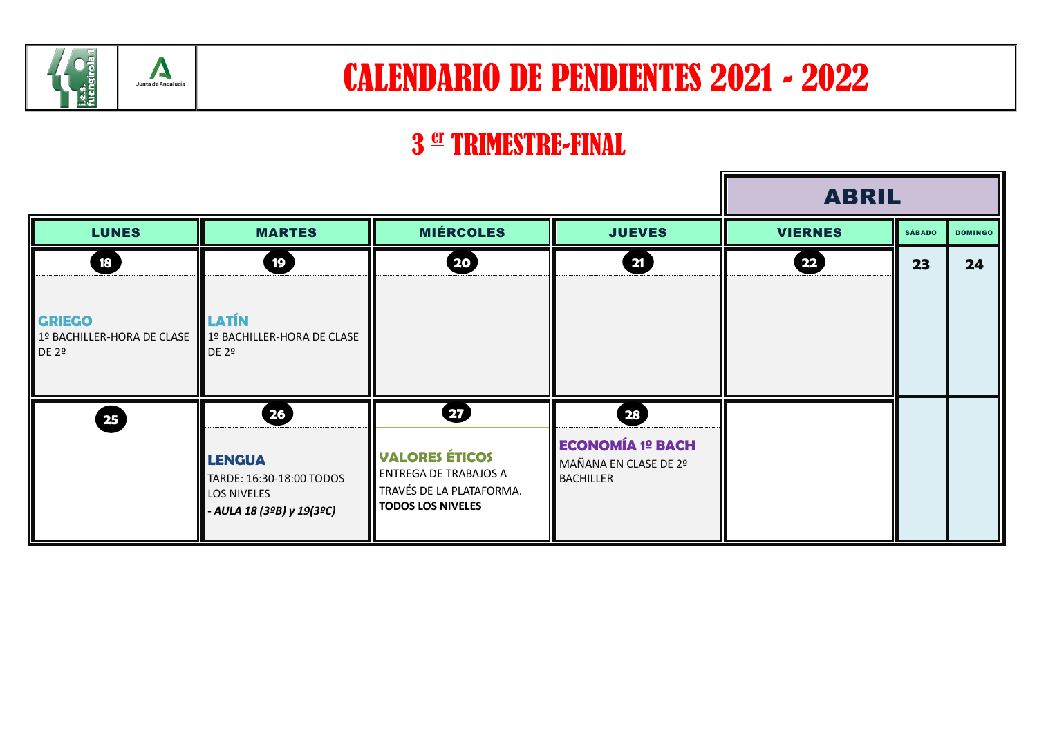

## CALENDARIO DE PENDIENTES 2021 - 2022

## 3 er TRIMESTRE-FINAL

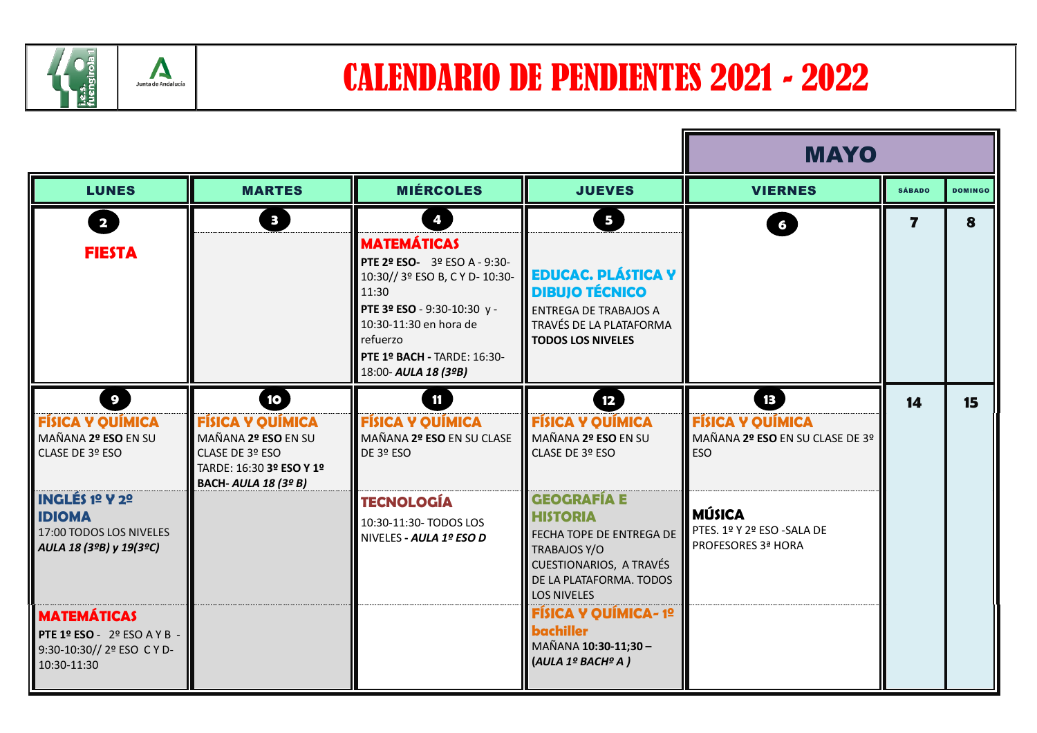

Ŀ

|                                                                                              |                                                                                                                                    |                                                                                                                                                                                                                                                |                                                                                                                                                                      | <b>MAYO</b>                                                                                 |                         |                |
|----------------------------------------------------------------------------------------------|------------------------------------------------------------------------------------------------------------------------------------|------------------------------------------------------------------------------------------------------------------------------------------------------------------------------------------------------------------------------------------------|----------------------------------------------------------------------------------------------------------------------------------------------------------------------|---------------------------------------------------------------------------------------------|-------------------------|----------------|
| <b>LUNES</b>                                                                                 | <b>MARTES</b>                                                                                                                      | <b>MIÉRCOLES</b>                                                                                                                                                                                                                               | <b>JUEVES</b>                                                                                                                                                        | <b>VIERNES</b>                                                                              | <b>SÁBADO</b>           | <b>DOMINGO</b> |
| $\overline{\mathbf{2}}$<br><b>FIESTA</b>                                                     | Ð                                                                                                                                  | $\bullet$<br><b>MATEMÁTICAS</b><br><b>PTE 2º ESO-</b> 3º ESO A - 9:30-<br>10:30// 3º ESO B, C Y D- 10:30-<br>11:30<br>PTE 3º ESO - 9:30-10:30 y -<br>10:30-11:30 en hora de<br>refuerzo<br>PTE 1º BACH - TARDE: 16:30-<br>18:00- AULA 18 (3ºB) | 5 <sup>1</sup><br><b>EDUCAC. PLÁSTICA Y</b><br><b>DIBUJO TÉCNICO</b><br><b>ENTREGA DE TRABAJOS A</b><br>TRAVÉS DE LA PLATAFORMA<br><b>TODOS LOS NIVELES</b>          | $6\phantom{a}$                                                                              | $\overline{\mathbf{z}}$ | 8              |
| $\overline{9}$<br><b>FÍSICA Y QUÍMICA</b><br>MAÑANA 2º ESO EN SU<br>CLASE DE 3º ESO          | 10<br><b>FÍSICA Y QUÍMICA</b><br>MAÑANA 2º ESO EN SU<br>CLASE DE 3º ESO<br>TARDE: 16:30 3º ESO Y 1º<br><b>BACH- AULA 18 (3º B)</b> | 11<br><b>FÍSICA Y QUÍMICA</b><br>MAÑANA 2º ESO EN SU CLASE<br>DE 3º ESO                                                                                                                                                                        | 12<br><b>FÍSICA Y QUÍMICA</b><br>MAÑANA 2º ESO EN SU<br>CLASE DE 3º ESO                                                                                              | $\overline{13}$<br><b>FÍSICA Y QUÍMICA</b><br>MAÑANA 2º ESO EN SU CLASE DE 3º<br><b>ESO</b> | 14                      | 15             |
| <b>INGLÉS 1º Y 2º</b><br><b>IDIOMA</b><br>17:00 TODOS LOS NIVELES<br>AULA 18 (3ºB) y 19(3ºC) |                                                                                                                                    | <b>TECNOLOGÍA</b><br>10:30-11:30- TODOS LOS<br>NIVELES - AULA 1º ESO D                                                                                                                                                                         | <b>GEOGRAFÍA E</b><br><b>HISTORIA</b><br>FECHA TOPE DE ENTREGA DE<br><b>TRABAJOS Y/O</b><br>CUESTIONARIOS, A TRAVÉS<br>DE LA PLATAFORMA. TODOS<br><b>LOS NIVELES</b> | <b>MÚSICA</b><br>PTES. 1º Y 2º ESO -SALA DE<br><b>PROFESORES 3ª HORA</b>                    |                         |                |
| <b>MATEMÁTICAS</b><br>PTE 1º ESO - 2º ESO A Y B<br>9:30-10:30// 2º ESO CYD-<br>10:30-11:30   |                                                                                                                                    |                                                                                                                                                                                                                                                | <b>FÍSICA Y QUÍMICA-1º</b><br><b>bachiller</b><br>MAÑANA 10:30-11;30 -<br>(AULA 1º BACHº A)                                                                          |                                                                                             |                         |                |